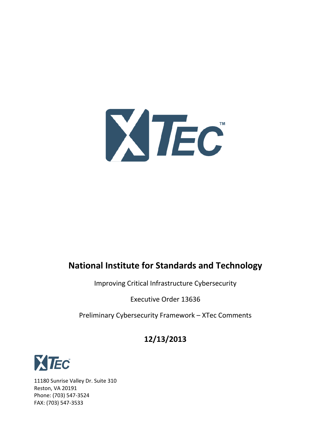

# **National Institute for Standards and Technology**

Improving Critical Infrastructure Cybersecurity

Executive Order 13636

Preliminary Cybersecurity Framework – XTec Comments

## **12/13/2013**



11180 Sunrise Valley Dr. Suite 310 Reston, VA 20191 Phone: (703) 547-3524 FAX: (703) 547-3533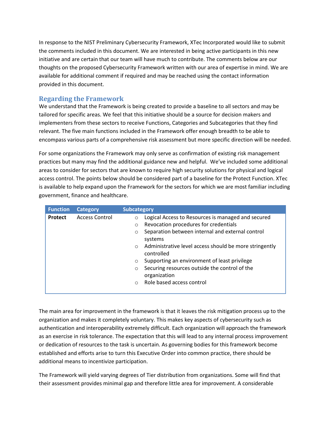In response to the NIST Preliminary Cybersecurity Framework, XTec Incorporated would like to submit the comments included in this document. We are interested in being active participants in this new initiative and are certain that our team will have much to contribute. The comments below are our thoughts on the proposed Cybersecurity Framework written with our area of expertise in mind. We are available for additional comment if required and may be reached using the contact information provided in this document.

#### **Regarding the Framework**

We understand that the Framework is being created to provide a baseline to all sectors and may be tailored for specific areas. We feel that this initiative should be a source for decision makers and implementers from these sectors to receive Functions, Categories and Subcategories that they find relevant. The five main functions included in the Framework offer enough breadth to be able to encompass various parts of a comprehensive risk assessment but more specific direction will be needed.

For some organizations the Framework may only serve as confirmation of existing risk management practices but many may find the additional guidance new and helpful. We've included some additional areas to consider for sectors that are known to require high security solutions for physical and logical access control. The points below should be considered part of a baseline for the Protect Function. XTec is available to help expand upon the Framework for the sectors for which we are most familiar including government, finance and healthcare.

| <b>Function</b> | <b>Category</b>       | <b>Subcategory</b>                                                |
|-----------------|-----------------------|-------------------------------------------------------------------|
| Protect         | <b>Access Control</b> | Logical Access to Resources is managed and secured<br>$\circ$     |
|                 |                       | Revocation procedures for credentials<br>$\circ$                  |
|                 |                       | Separation between internal and external control<br>$\circ$       |
|                 |                       | systems                                                           |
|                 |                       | Administrative level access should be more stringently<br>$\circ$ |
|                 |                       | controlled                                                        |
|                 |                       | Supporting an environment of least privilege<br>$\circ$           |
|                 |                       | Securing resources outside the control of the<br>$\circ$          |
|                 |                       | organization                                                      |
|                 |                       | Role based access control<br>$\bigcirc$                           |
|                 |                       |                                                                   |

The main area for improvement in the framework is that it leaves the risk mitigation process up to the organization and makes it completely voluntary. This makes key aspects of cybersecurity such as authentication and interoperability extremely difficult. Each organization will approach the framework as an exercise in risk tolerance. The expectation that this will lead to any internal process improvement or dedication of resources to the task is uncertain. As governing bodies for this framework become established and efforts arise to turn this Executive Order into common practice, there should be additional means to incentivize participation.

The Framework will yield varying degrees of Tier distribution from organizations. Some will find that their assessment provides minimal gap and therefore little area for improvement. A considerable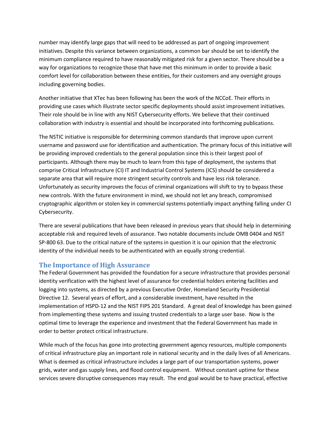number may identify large gaps that will need to be addressed as part of ongoing improvement initiatives. Despite this variance between organizations, a common bar should be set to identify the minimum compliance required to have reasonably mitigated risk for a given sector. There should be a way for organizations to recognize those that have met this minimum in order to provide a basic comfort level for collaboration between these entities, for their customers and any oversight groups including governing bodies.

Another initiative that XTec has been following has been the work of the NCCoE. Their efforts in providing use cases which illustrate sector specific deployments should assist improvement initiatives. Their role should be in line with any NIST Cybersecurity efforts. We believe that their continued collaboration with industry is essential and should be incorporated into forthcoming publications.

The NSTIC initiative is responsible for determining common standards that improve upon current username and password use for identification and authentication. The primary focus of this initiative will be providing improved credentials to the general population since this is their largest pool of participants. Although there may be much to learn from this type of deployment, the systems that comprise Critical Infrastructure (CI) IT and Industrial Control Systems (ICS) should be considered a separate area that will require more stringent security controls and have less risk tolerance. Unfortunately as security improves the focus of criminal organizations will shift to try to bypass these new controls. With the future environment in mind, we should not let any breach, compromised cryptographic algorithm or stolen key in commercial systems potentially impact anything falling under CI Cybersecurity.

There are several publications that have been released in previous years that should help in determining acceptable risk and required levels of assurance. Two notable documents include OMB 0404 and NIST SP-800 63. Due to the critical nature of the systems in question it is our opinion that the electronic identity of the individual needs to be authenticated with an equally strong credential.

#### **The Importance of High Assurance**

The Federal Government has provided the foundation for a secure infrastructure that provides personal identity verification with the highest level of assurance for credential holders entering facilities and logging into systems, as directed by a previous Executive Order, Homeland Security Presidential Directive 12. Several years of effort, and a considerable investment, have resulted in the implementation of HSPD-12 and the NIST FIPS 201 Standard. A great deal of knowledge has been gained from implementing these systems and issuing trusted credentials to a large user base. Now is the optimal time to leverage the experience and investment that the Federal Government has made in order to better protect critical infrastructure.

While much of the focus has gone into protecting government agency resources, multiple components of critical infrastructure play an important role in national security and in the daily lives of all Americans. What is deemed as critical infrastructure includes a large part of our transportation systems, power grids, water and gas supply lines, and flood control equipment. Without constant uptime for these services severe disruptive consequences may result. The end goal would be to have practical, effective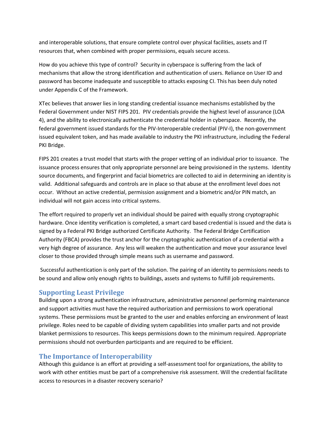and interoperable solutions, that ensure complete control over physical facilities, assets and IT resources that, when combined with proper permissions, equals secure access.

How do you achieve this type of control? Security in cyberspace is suffering from the lack of mechanisms that allow the strong identification and authentication of users. Reliance on User ID and password has become inadequate and susceptible to attacks exposing CI. This has been duly noted under Appendix C of the Framework.

XTec believes that answer lies in long standing credential issuance mechanisms established by the Federal Government under NIST FIPS 201. PIV credentials provide the highest level of assurance (LOA 4), and the ability to electronically authenticate the credential holder in cyberspace. Recently, the federal government issued standards for the PIV-Interoperable credential (PIV-I), the non-government issued equivalent token, and has made available to industry the PKI infrastructure, including the Federal PKI Bridge.

FIPS 201 creates a trust model that starts with the proper vetting of an individual prior to issuance. The issuance process ensures that only appropriate personnel are being provisioned in the systems. Identity source documents, and fingerprint and facial biometrics are collected to aid in determining an identity is valid. Additional safeguards and controls are in place so that abuse at the enrollment level does not occur. Without an active credential, permission assignment and a biometric and/or PIN match, an individual will not gain access into critical systems.

The effort required to properly vet an individual should be paired with equally strong cryptographic hardware. Once identity verification is completed, a smart card based credential is issued and the data is signed by a Federal PKI Bridge authorized Certificate Authority. The Federal Bridge Certification Authority (FBCA) provides the trust anchor for the cryptographic authentication of a credential with a very high degree of assurance. Any less will weaken the authentication and move your assurance level closer to those provided through simple means such as username and password.

Successful authentication is only part of the solution. The pairing of an identity to permissions needs to be sound and allow only enough rights to buildings, assets and systems to fulfill job requirements.

#### **Supporting Least Privilege**

Building upon a strong authentication infrastructure, administrative personnel performing maintenance and support activities must have the required authorization and permissions to work operational systems. These permissions must be granted to the user and enables enforcing an environment of least privilege. Roles need to be capable of dividing system capabilities into smaller parts and not provide blanket permissions to resources. This keeps permissions down to the minimum required. Appropriate permissions should not overburden participants and are required to be efficient.

#### **The Importance of Interoperability**

Although this guidance is an effort at providing a self-assessment tool for organizations, the ability to work with other entities must be part of a comprehensive risk assessment. Will the credential facilitate access to resources in a disaster recovery scenario?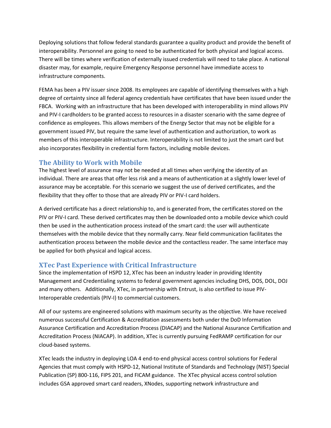Deploying solutions that follow federal standards guarantee a quality product and provide the benefit of interoperability. Personnel are going to need to be authenticated for both physical and logical access. There will be times where verification of externally issued credentials will need to take place. A national disaster may, for example, require Emergency Response personnel have immediate access to infrastructure components.

FEMA has been a PIV issuer since 2008. Its employees are capable of identifying themselves with a high degree of certainty since all federal agency credentials have certificates that have been issued under the FBCA. Working with an infrastructure that has been developed with interoperability in mind allows PIV and PIV-I cardholders to be granted access to resources in a disaster scenario with the same degree of confidence as employees. This allows members of the Energy Sector that may not be eligible for a government issued PIV, but require the same level of authentication and authorization, to work as members of this interoperable infrastructure. Interoperability is not limited to just the smart card but also incorporates flexibility in credential form factors, including mobile devices.

#### **The Ability to Work with Mobile**

The highest level of assurance may not be needed at all times when verifying the identity of an individual. There are areas that offer less risk and a means of authentication at a slightly lower level of assurance may be acceptable. For this scenario we suggest the use of derived certificates, and the flexibility that they offer to those that are already PIV or PIV-I card holders.

A derived certificate has a direct relationship to, and is generated from, the certificates stored on the PIV or PIV-I card. These derived certificates may then be downloaded onto a mobile device which could then be used in the authentication process instead of the smart card: the user will authenticate themselves with the mobile device that they normally carry. Near field communication facilitates the authentication process between the mobile device and the contactless reader. The same interface may be applied for both physical and logical access.

#### **XTec Past Experience with Critical Infrastructure**

Since the implementation of HSPD 12, XTec has been an industry leader in providing Identity Management and Credentialing systems to federal government agencies including DHS, DOS, DOL, DOJ and many others. Additionally, XTec, in partnership with Entrust, is also certified to issue PIV-Interoperable credentials (PIV-I) to commercial customers.

All of our systems are engineered solutions with maximum security as the objective. We have received numerous successful Certification & Accreditation assessments both under the DoD Information Assurance Certification and Accreditation Process (DIACAP) and the National Assurance Certification and Accreditation Process (NIACAP). In addition, XTec is currently pursuing FedRAMP certification for our cloud-based systems.

XTec leads the industry in deploying LOA 4 end-to-end physical access control solutions for Federal Agencies that must comply with HSPD-12, National Institute of Standards and Technology (NIST) Special Publication (SP) 800-116, FIPS 201, and FICAM guidance. The XTec physical access control solution includes GSA approved smart card readers, XNodes, supporting network infrastructure and